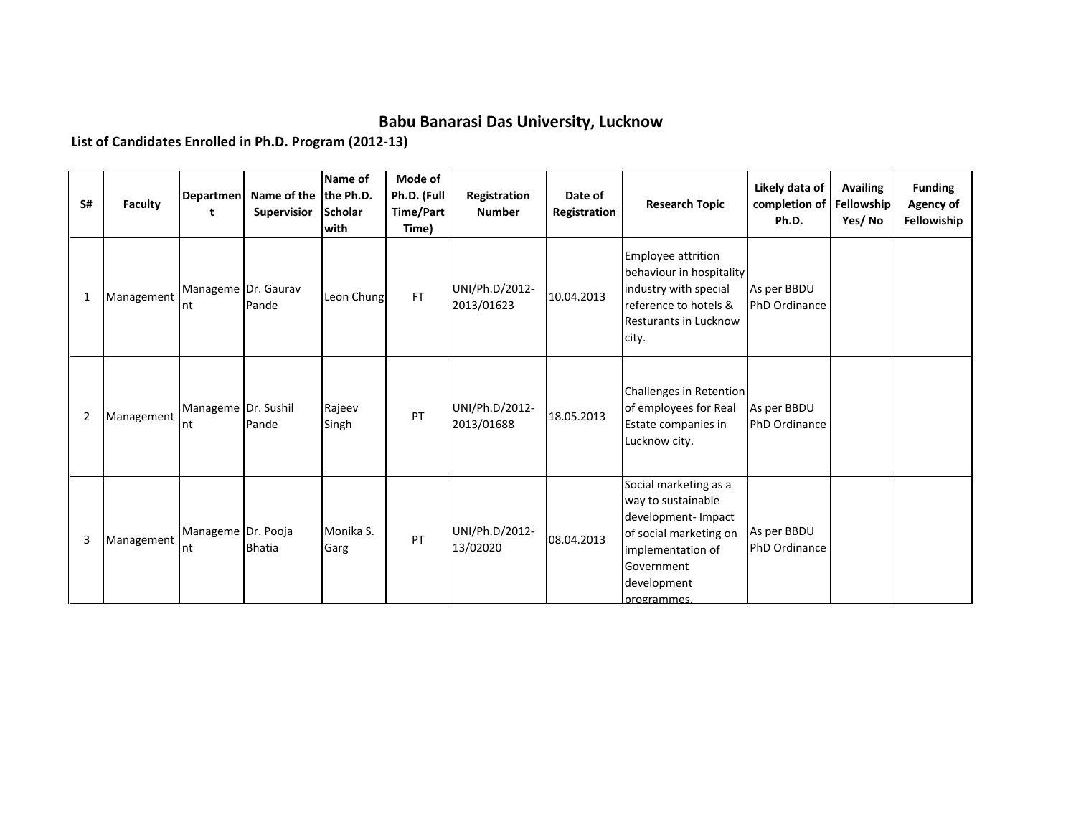## **Babu Banarasi Das University, Lucknow**

**List of Candidates Enrolled in Ph.D. Program (2012-13)**

| S#             | <b>Faculty</b> | Departmen<br>t             | Name of the the Ph.D.<br><b>Supervisior</b> | Name of<br><b>Scholar</b><br>with | Mode of<br>Ph.D. (Full<br>Time/Part<br>Time) | Registration<br><b>Number</b> | Date of<br>Registration | <b>Research Topic</b>                                                                                                                                         | Likely data of<br>completion of<br>Ph.D. | <b>Availing</b><br>Fellowship<br>Yes/No | <b>Funding</b><br>Agency of<br>Fellowiship |
|----------------|----------------|----------------------------|---------------------------------------------|-----------------------------------|----------------------------------------------|-------------------------------|-------------------------|---------------------------------------------------------------------------------------------------------------------------------------------------------------|------------------------------------------|-----------------------------------------|--------------------------------------------|
| 1              | Management     | Manageme Dr. Gaurav<br>Int | Pande                                       | Leon Chung                        | <b>FT</b>                                    | UNI/Ph.D/2012-<br>2013/01623  | 10.04.2013              | <b>Employee attrition</b><br>behaviour in hospitality<br>industry with special<br>reference to hotels &<br>Resturants in Lucknow<br>city.                     | As per BBDU<br>PhD Ordinance             |                                         |                                            |
| $\overline{2}$ | Management     | Manageme Dr. Sushil<br>Int | Pande                                       | Rajeev<br>Singh                   | PT                                           | UNI/Ph.D/2012-<br>2013/01688  | 18.05.2013              | Challenges in Retention<br>of employees for Real<br>Estate companies in<br>Lucknow city.                                                                      | As per BBDU<br>PhD Ordinance             |                                         |                                            |
| 3              | Management     | Manageme Dr. Pooja<br>Int  | <b>Bhatia</b>                               | Monika S.<br>Garg                 | PT                                           | UNI/Ph.D/2012-<br>13/02020    | 08.04.2013              | Social marketing as a<br>way to sustainable<br>development- Impact<br>of social marketing on<br>implementation of<br>Government<br>development<br>programmes. | As per BBDU<br>PhD Ordinance             |                                         |                                            |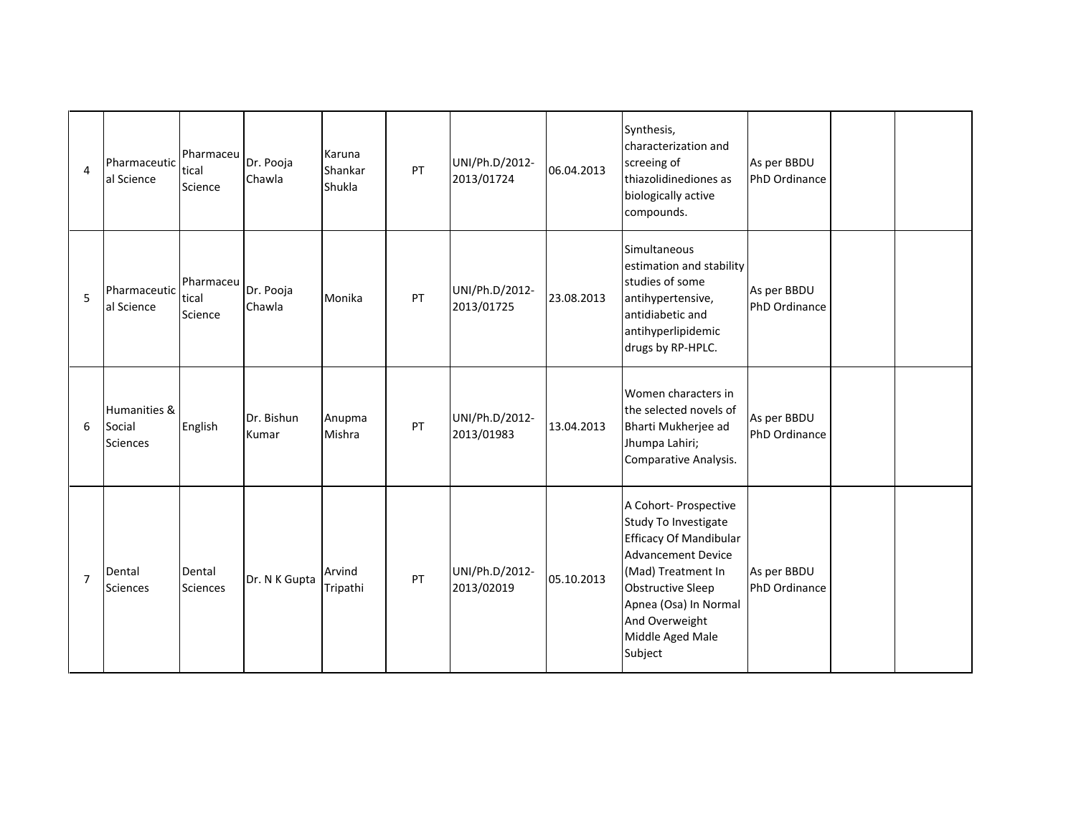| $\overline{a}$ | Pharmaceutic<br>al Science                | Pharmaceu<br>tical<br>Science | Dr. Pooja<br>Chawla | Karuna<br>Shankar<br>Shukla | PT | UNI/Ph.D/2012-<br>2013/01724 | 06.04.2013 | Synthesis,<br>characterization and<br>screeing of<br>thiazolidinediones as<br>biologically active<br>compounds.                                                                                                                  | As per BBDU<br>PhD Ordinance |  |
|----------------|-------------------------------------------|-------------------------------|---------------------|-----------------------------|----|------------------------------|------------|----------------------------------------------------------------------------------------------------------------------------------------------------------------------------------------------------------------------------------|------------------------------|--|
| 5              | Pharmaceutic<br>al Science                | Pharmaceu<br>tical<br>Science | Dr. Pooja<br>Chawla | Monika                      | PT | UNI/Ph.D/2012-<br>2013/01725 | 23.08.2013 | Simultaneous<br>estimation and stability<br>studies of some<br>antihypertensive,<br>antidiabetic and<br>antihyperlipidemic<br>drugs by RP-HPLC.                                                                                  | As per BBDU<br>PhD Ordinance |  |
| 6              | Humanities &<br>Social<br><b>Sciences</b> | English                       | Dr. Bishun<br>Kumar | Anupma<br>Mishra            | PT | UNI/Ph.D/2012-<br>2013/01983 | 13.04.2013 | Women characters in<br>the selected novels of<br>Bharti Mukherjee ad<br>Jhumpa Lahiri;<br>Comparative Analysis.                                                                                                                  | As per BBDU<br>PhD Ordinance |  |
| $\overline{7}$ | Dental<br><b>Sciences</b>                 | Dental<br><b>Sciences</b>     | Dr. N K Gupta       | Arvind<br>Tripathi          | PT | UNI/Ph.D/2012-<br>2013/02019 | 05.10.2013 | A Cohort- Prospective<br>Study To Investigate<br><b>Efficacy Of Mandibular</b><br><b>Advancement Device</b><br>(Mad) Treatment In<br>Obstructive Sleep<br>Apnea (Osa) In Normal<br>And Overweight<br>Middle Aged Male<br>Subject | As per BBDU<br>PhD Ordinance |  |